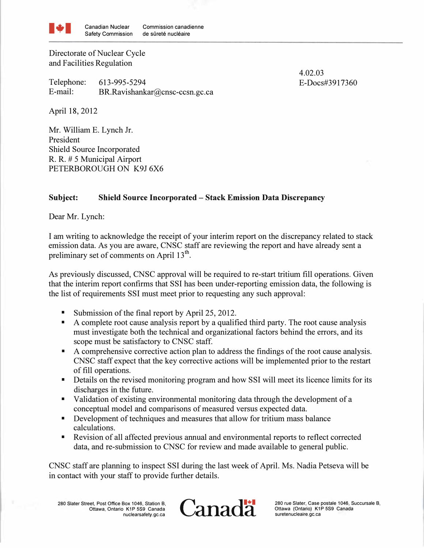

Directorate of Nuclear Cycle and Facilities Regulation

Telephone: 613-995-5294 E-Docs#3917360 E-mail: BR.Ravishankar@cnsc-ccsn.gc.ca

4.02.03

April 18, 2012

Mr. William E. Lynch Jr. President Shield Source Incorporated R. R. # 5 Municipal Airport PETERBOROUGH ON K9J 6X6

## Subject: Shield Source Incorporated - Stack Emission Data Discrepancy

Dear Mr. Lynch:

I am writing to acknowledge the receipt of your interim report on the discrepancy related to stack emission data. As you are aware, CNSC staff are reviewing the report and have already sent a preliminary set of comments on April  $13<sup>th</sup>$ .

As previously discussed, CNSC approval will be required to re-start tritium fill operations. Given that the interim report confirms that SSI has been under-reporting emission data, the following is the list of requirements SSI must meet prior to requesting any such approval:

- Submission of the final report by April 25, 2012.
- A complete root cause analysis report by a qualified third party. The root cause analysis must investigate both the technical and organizational factors behind the errors, and its scope must be satisfactory to CNSC staff.
- A comprehensive corrective action plan to address the findings of the root cause analysis. CNSC staff expect that the key corrective actions will be implemented prior to the restart of fill operations.
- Details on the revised monitoring program and how SSI will meet its licence limits for its discharges in the future.
- Validation of existing environmental monitoring data through the development of a conceptual model and comparisons of measured versus expected data.
- Development of techniques and measures that allow for tritium mass balance calculations.
- Revision of all affected previous annual and environmental reports to reflect corrected data, and re-submission to CNSC for review and made available to general public.

CNSC staff are planning to inspect SSI during the last week of April. Ms. Nadia Petseva will be in contact with your staff to provide further details.



280 Slater Street, Post Office Box 1046, Station B,<br>Ottawa, Ontario K1P 5S9 Canada<br>nuclearsafety.gc.ca **Canada** suretenucleaire.gc.ca suretenucleaire.gc.ca